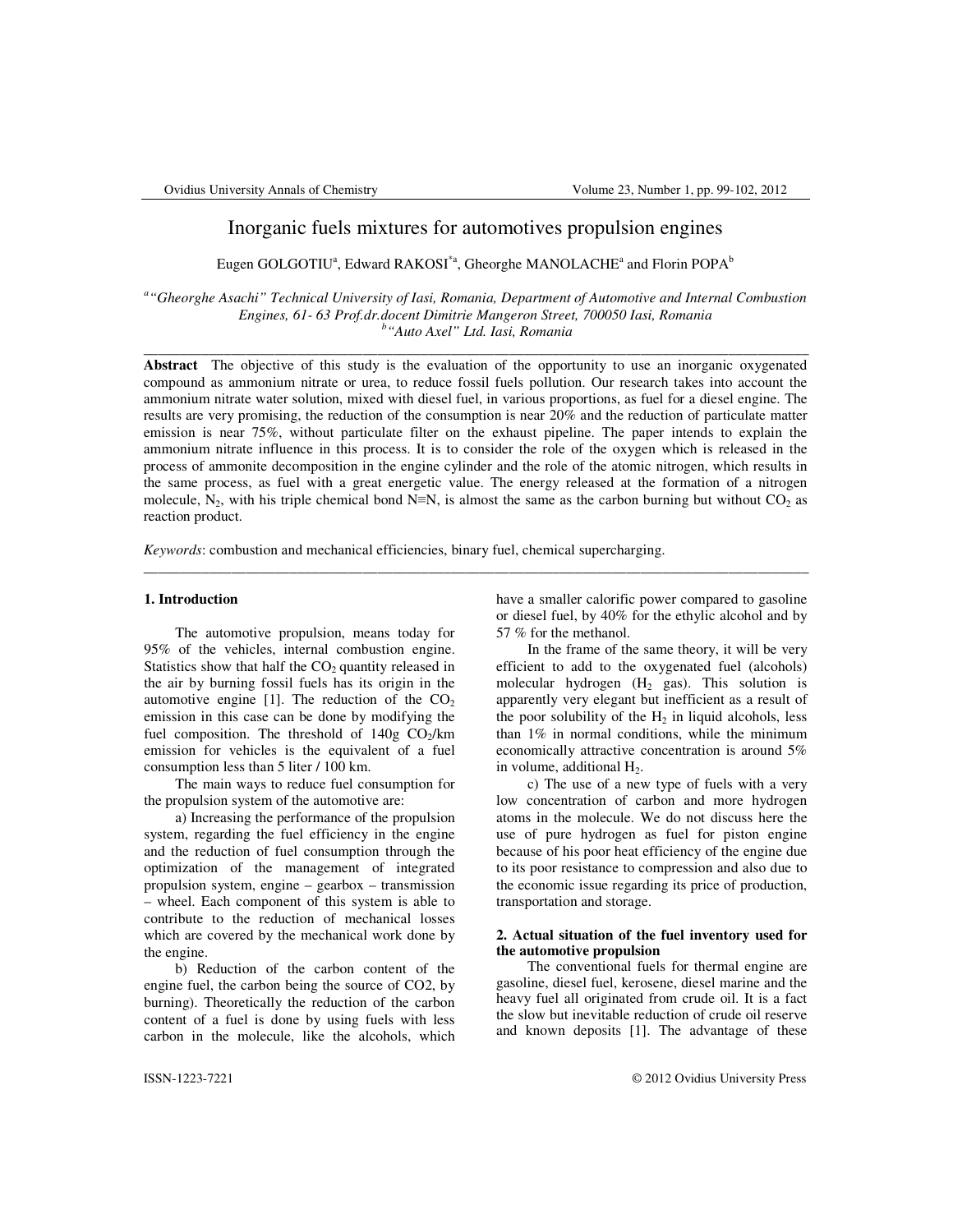# Inorganic fuels mixtures for automotives propulsion engines

Eugen GOLGOTIU<sup>a</sup>, Edward RAKOSI<sup>\*a</sup>, Gheorghe MANOLACHE<sup>a</sup> and Florin POPA<sup>b</sup>

*a "Gheorghe Asachi" Technical University of Iasi, Romania, Department of Automotive and Internal Combustion Engines, 61- 63 Prof.dr.docent Dimitrie Mangeron Street, 700050 Iasi, Romania b "Auto Axel" Ltd. Iasi, Romania* 

 $\_$  ,  $\_$  ,  $\_$  ,  $\_$  ,  $\_$  ,  $\_$  ,  $\_$  ,  $\_$  ,  $\_$  ,  $\_$  ,  $\_$  ,  $\_$  ,  $\_$  ,  $\_$  ,  $\_$  ,  $\_$  ,  $\_$  ,  $\_$  ,  $\_$  ,  $\_$  ,  $\_$  ,  $\_$  ,  $\_$  ,  $\_$  ,  $\_$  ,  $\_$  ,  $\_$  ,  $\_$  ,  $\_$  ,  $\_$  ,  $\_$  ,  $\_$  ,  $\_$  ,  $\_$  ,  $\_$  ,  $\_$  ,  $\_$  ,

**Abstract** The objective of this study is the evaluation of the opportunity to use an inorganic oxygenated compound as ammonium nitrate or urea, to reduce fossil fuels pollution. Our research takes into account the ammonium nitrate water solution, mixed with diesel fuel, in various proportions, as fuel for a diesel engine. The results are very promising, the reduction of the consumption is near 20% and the reduction of particulate matter emission is near 75%, without particulate filter on the exhaust pipeline. The paper intends to explain the ammonium nitrate influence in this process. It is to consider the role of the oxygen which is released in the process of ammonite decomposition in the engine cylinder and the role of the atomic nitrogen, which results in the same process, as fuel with a great energetic value. The energy released at the formation of a nitrogen molecule,  $N_2$ , with his triple chemical bond N≡N, is almost the same as the carbon burning but without CO<sub>2</sub> as reaction product.

 $\_$  ,  $\_$  ,  $\_$  ,  $\_$  ,  $\_$  ,  $\_$  ,  $\_$  ,  $\_$  ,  $\_$  ,  $\_$  ,  $\_$  ,  $\_$  ,  $\_$  ,  $\_$  ,  $\_$  ,  $\_$  ,  $\_$  ,  $\_$  ,  $\_$  ,  $\_$  ,  $\_$  ,  $\_$  ,  $\_$  ,  $\_$  ,  $\_$  ,  $\_$  ,  $\_$  ,  $\_$  ,  $\_$  ,  $\_$  ,  $\_$  ,  $\_$  ,  $\_$  ,  $\_$  ,  $\_$  ,  $\_$  ,  $\_$  ,

*Keywords*: combustion and mechanical efficiencies, binary fuel, chemical supercharging.

#### **1. Introduction**

 The automotive propulsion, means today for 95% of the vehicles, internal combustion engine. Statistics show that half the  $CO<sub>2</sub>$  quantity released in the air by burning fossil fuels has its origin in the automotive engine [1]. The reduction of the  $CO<sub>2</sub>$ emission in this case can be done by modifying the fuel composition. The threshold of  $140g$  CO<sub>2</sub>/km emission for vehicles is the equivalent of a fuel consumption less than 5 liter / 100 km.

 The main ways to reduce fuel consumption for the propulsion system of the automotive are:

 a) Increasing the performance of the propulsion system, regarding the fuel efficiency in the engine and the reduction of fuel consumption through the optimization of the management of integrated propulsion system, engine – gearbox – transmission – wheel. Each component of this system is able to contribute to the reduction of mechanical losses which are covered by the mechanical work done by the engine.

 b) Reduction of the carbon content of the engine fuel, the carbon being the source of CO2, by burning). Theoretically the reduction of the carbon content of a fuel is done by using fuels with less carbon in the molecule, like the alcohols, which

have a smaller calorific power compared to gasoline or diesel fuel, by 40% for the ethylic alcohol and by 57 % for the methanol.

 In the frame of the same theory, it will be very efficient to add to the oxygenated fuel (alcohols) molecular hydrogen  $(H_2$  gas). This solution is apparently very elegant but inefficient as a result of the poor solubility of the  $H_2$  in liquid alcohols, less than 1% in normal conditions, while the minimum economically attractive concentration is around 5% in volume, additional  $H_2$ .

 c) The use of a new type of fuels with a very low concentration of carbon and more hydrogen atoms in the molecule. We do not discuss here the use of pure hydrogen as fuel for piston engine because of his poor heat efficiency of the engine due to its poor resistance to compression and also due to the economic issue regarding its price of production, transportation and storage.

### **2. Actual situation of the fuel inventory used for the automotive propulsion**

 The conventional fuels for thermal engine are gasoline, diesel fuel, kerosene, diesel marine and the heavy fuel all originated from crude oil. It is a fact the slow but inevitable reduction of crude oil reserve and known deposits [1]. The advantage of these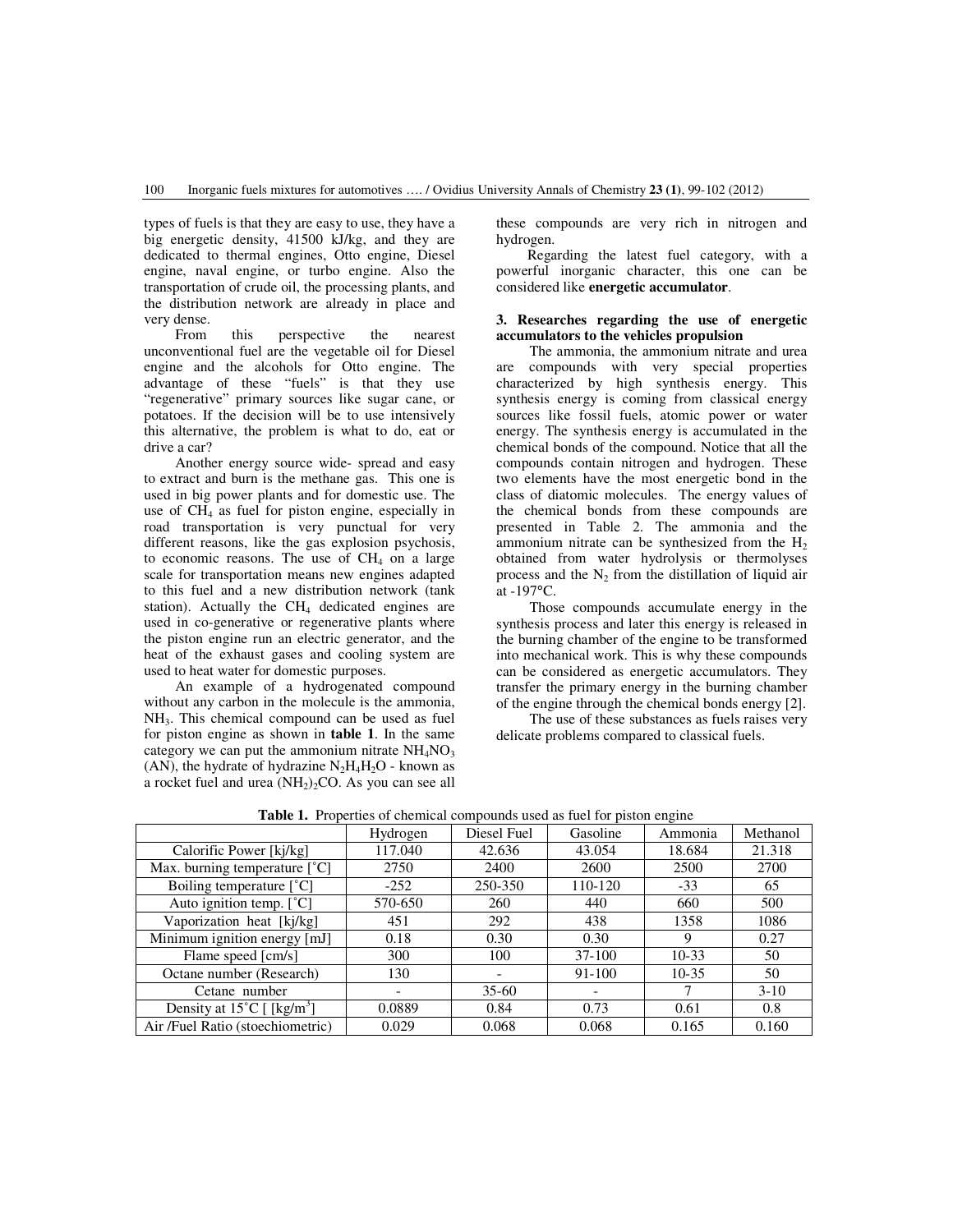types of fuels is that they are easy to use, they have a big energetic density, 41500 kJ/kg, and they are dedicated to thermal engines, Otto engine, Diesel engine, naval engine, or turbo engine. Also the transportation of crude oil, the processing plants, and the distribution network are already in place and very dense.

 From this perspective the nearest unconventional fuel are the vegetable oil for Diesel engine and the alcohols for Otto engine. The advantage of these "fuels" is that they use "regenerative" primary sources like sugar cane, or potatoes. If the decision will be to use intensively this alternative, the problem is what to do, eat or drive a car?

 Another energy source wide- spread and easy to extract and burn is the methane gas. This one is used in big power plants and for domestic use. The use of  $CH<sub>4</sub>$  as fuel for piston engine, especially in road transportation is very punctual for very different reasons, like the gas explosion psychosis, to economic reasons. The use of  $CH<sub>4</sub>$  on a large scale for transportation means new engines adapted to this fuel and a new distribution network (tank station). Actually the  $CH<sub>4</sub>$  dedicated engines are used in co-generative or regenerative plants where the piston engine run an electric generator, and the heat of the exhaust gases and cooling system are used to heat water for domestic purposes.

 An example of a hydrogenated compound without any carbon in the molecule is the ammonia, NH3. This chemical compound can be used as fuel for piston engine as shown in **table 1**. In the same category we can put the ammonium nitrate  $NH<sub>4</sub>NO<sub>3</sub>$ (AN), the hydrate of hydrazine  $N_2H_4H_2O$  - known as a rocket fuel and urea  $(NH<sub>2</sub>)<sub>2</sub>CO$ . As you can see all these compounds are very rich in nitrogen and hydrogen.

 Regarding the latest fuel category, with a powerful inorganic character, this one can be considered like **energetic accumulator**.

### **3. Researches regarding the use of energetic accumulators to the vehicles propulsion**

 The ammonia, the ammonium nitrate and urea are compounds with very special properties characterized by high synthesis energy. This synthesis energy is coming from classical energy sources like fossil fuels, atomic power or water energy. The synthesis energy is accumulated in the chemical bonds of the compound. Notice that all the compounds contain nitrogen and hydrogen. These two elements have the most energetic bond in the class of diatomic molecules. The energy values of the chemical bonds from these compounds are presented in Table 2. The ammonia and the ammonium nitrate can be synthesized from the  $H<sub>2</sub>$ obtained from water hydrolysis or thermolyses process and the  $N_2$  from the distillation of liquid air at -197°C.

 Those compounds accumulate energy in the synthesis process and later this energy is released in the burning chamber of the engine to be transformed into mechanical work. This is why these compounds can be considered as energetic accumulators. They transfer the primary energy in the burning chamber of the engine through the chemical bonds energy [2].

 The use of these substances as fuels raises very delicate problems compared to classical fuels.

|                                                  | Hydrogen | Diesel Fuel | Gasoline | Ammonia   | Methanol |
|--------------------------------------------------|----------|-------------|----------|-----------|----------|
| Calorific Power [kj/kg]                          | 117.040  | 42.636      | 43.054   | 18.684    | 21.318   |
| Max. burning temperature $[^{\circ}C]$           | 2750     | 2400        | 2600     | 2500      | 2700     |
| Boiling temperature $[^{\circ}C]$                | $-252$   | 250-350     | 110-120  | $-33$     | 65       |
| Auto ignition temp. $[^{\circ}C]$                | 570-650  | 260         | 440      | 660       | 500      |
| Vaporization heat [kj/kg]                        | 451      | 292         | 438      | 1358      | 1086     |
| Minimum ignition energy [mJ]                     | 0.18     | 0.30        | 0.30     | 9         | 0.27     |
| Flame speed [cm/s]                               | 300      | 100         | $37-100$ | $10 - 33$ | 50       |
| Octane number (Research)                         | 130      |             | 91-100   | $10-35$   | 50       |
| Cetane number                                    |          | $35-60$     |          |           | $3-10$   |
| Density at $15^{\circ}$ C [ [kg/m <sup>3</sup> ] | 0.0889   | 0.84        | 0.73     | 0.61      | 0.8      |
| Air /Fuel Ratio (stoechiometric)                 | 0.029    | 0.068       | 0.068    | 0.165     | 0.160    |

**Table 1.** Properties of chemical compounds used as fuel for piston engine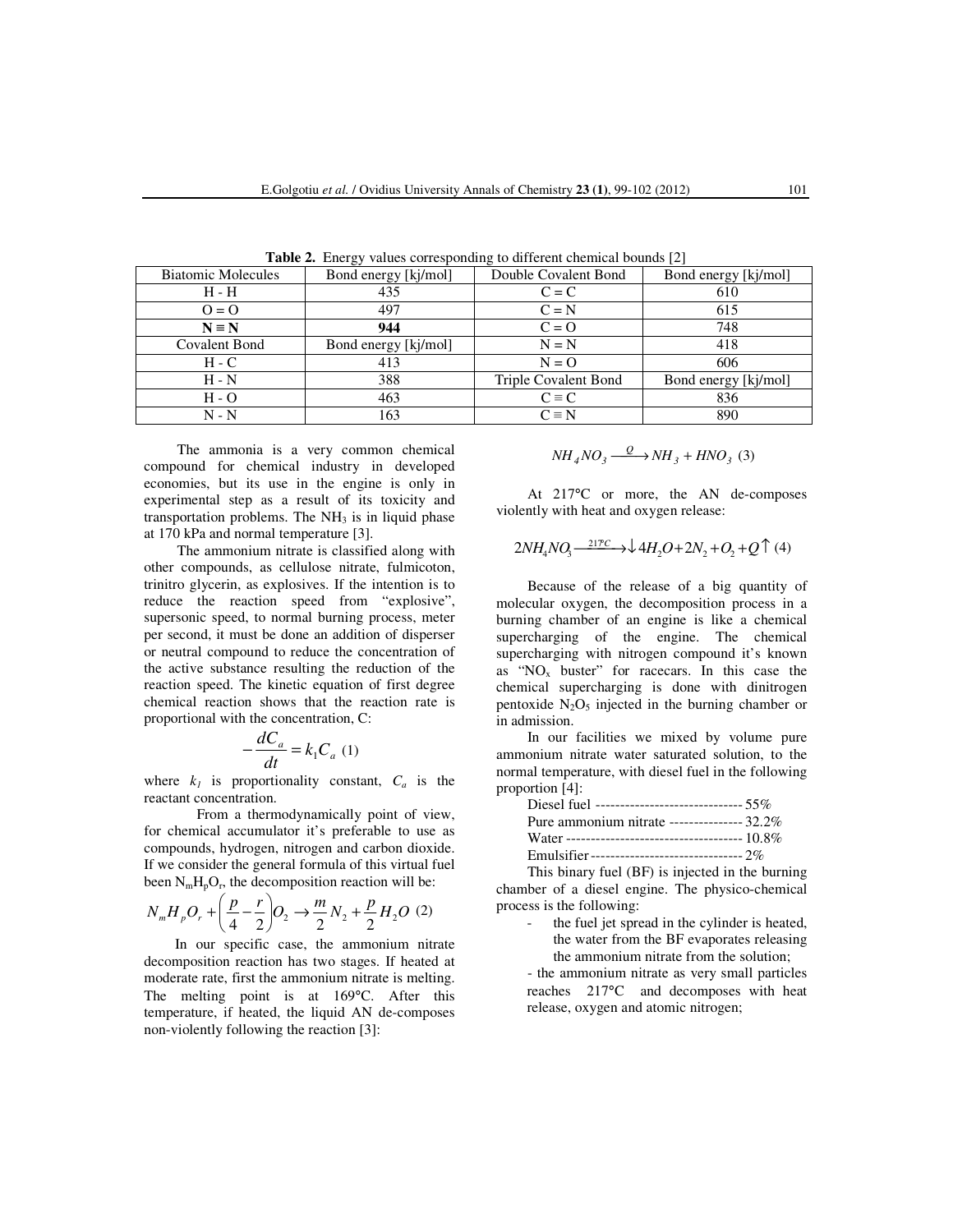| -- 01                |                      |                      |  |  |  |  |  |
|----------------------|----------------------|----------------------|--|--|--|--|--|
| Bond energy [kj/mol] | Double Covalent Bond | Bond energy [kj/mol] |  |  |  |  |  |
| 435                  | $C = C$              | 610                  |  |  |  |  |  |
| 497                  | $C = N$              | 615                  |  |  |  |  |  |
| 944                  | $C = 0$              | 748                  |  |  |  |  |  |
| Bond energy [kj/mol] | $N = N$              | 418                  |  |  |  |  |  |
| 413                  | $N = 0$              | 606                  |  |  |  |  |  |
| 388                  | Triple Covalent Bond | Bond energy [kj/mol] |  |  |  |  |  |
| 463                  | $C \equiv C$         | 836                  |  |  |  |  |  |
| 163                  | $C \equiv N$         | 890                  |  |  |  |  |  |
|                      |                      |                      |  |  |  |  |  |

**Table 2.** Energy values corresponding to different chemical bounds [2]

The ammonia is a very common chemical compound for chemical industry in developed economies, but its use in the engine is only in experimental step as a result of its toxicity and transportation problems. The  $NH<sub>3</sub>$  is in liquid phase at 170 kPa and normal temperature [3].

 The ammonium nitrate is classified along with other compounds, as cellulose nitrate, fulmicoton, trinitro glycerin, as explosives. If the intention is to reduce the reaction speed from "explosive", supersonic speed, to normal burning process, meter per second, it must be done an addition of disperser or neutral compound to reduce the concentration of the active substance resulting the reduction of the reaction speed. The kinetic equation of first degree chemical reaction shows that the reaction rate is proportional with the concentration, C:

$$
-\frac{dC_a}{dt} = k_1 C_a (1)
$$

where  $k_l$  is proportionality constant,  $C_a$  is the reactant concentration.

From a thermodynamically point of view, for chemical accumulator it's preferable to use as compounds, hydrogen, nitrogen and carbon dioxide. If we consider the general formula of this virtual fuel been  $N_mH_pO_r$ , the decomposition reaction will be:

$$
N_m H_p O_r + \left(\frac{p}{4} - \frac{r}{2}\right) O_2 \to \frac{m}{2} N_2 + \frac{p}{2} H_2 O \ (2)
$$

 In our specific case, the ammonium nitrate decomposition reaction has two stages. If heated at moderate rate, first the ammonium nitrate is melting. The melting point is at 169°C. After this temperature, if heated, the liquid AN de-composes non-violently following the reaction [3]:

$$
NH_{4}NO_{3} \xrightarrow{Q} NH_{3} + HNO_{3} (3)
$$

 At 217°C or more, the AN de-composes violently with heat and oxygen release:

$$
2NH_4NQ_3 \xrightarrow{217^\circ C} \rightarrow \downarrow 4H_2O + 2N_2 + O_2 + Q \uparrow (4)
$$

 Because of the release of a big quantity of molecular oxygen, the decomposition process in a burning chamber of an engine is like a chemical supercharging of the engine. The chemical supercharging with nitrogen compound it's known as " $NO<sub>x</sub>$  buster" for racecars. In this case the chemical supercharging is done with dinitrogen pentoxide  $N_2O_5$  injected in the burning chamber or in admission.

 In our facilities we mixed by volume pure ammonium nitrate water saturated solution, to the normal temperature, with diesel fuel in the following proportion [4]:

| Diesel fuel ------------------------------- 55% |  |
|-------------------------------------------------|--|
| Pure ammonium nitrate --------------- 32.2%     |  |
|                                                 |  |
|                                                 |  |

 This binary fuel (BF) is injected in the burning chamber of a diesel engine. The physico-chemical process is the following:

> the fuel jet spread in the cylinder is heated, the water from the BF evaporates releasing the ammonium nitrate from the solution;

 - the ammonium nitrate as very small particles reaches 217°C and decomposes with heat release, oxygen and atomic nitrogen;